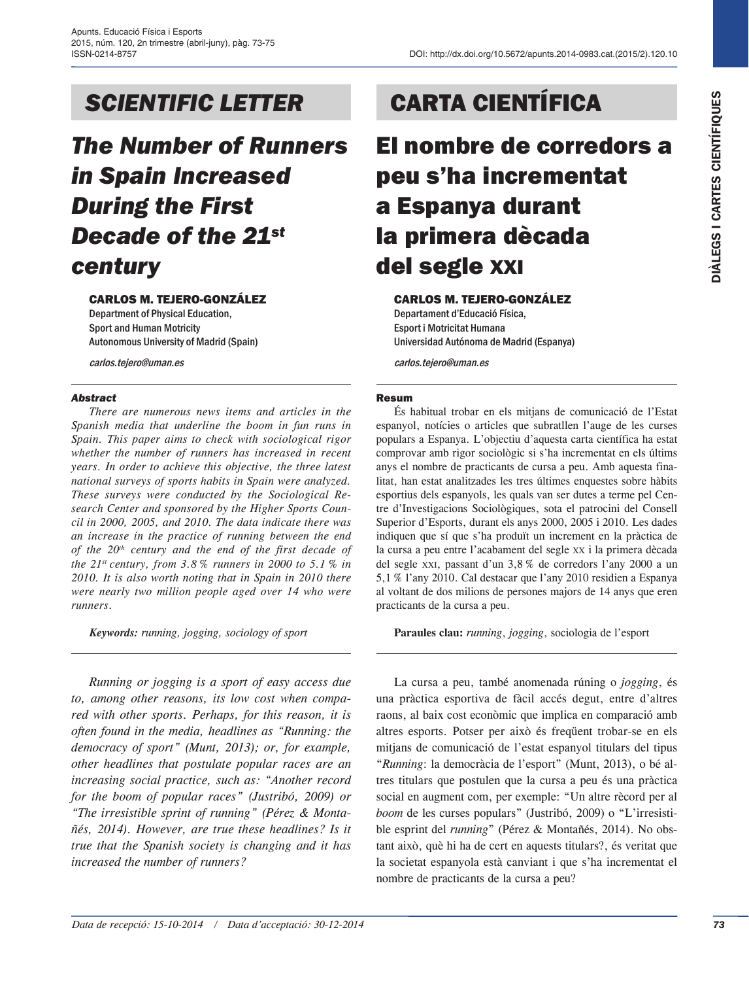*The Number of Runners in Spain Increased During the First Decade of the 21st century*

### Carlos M. Tejero-González

Department of Physical Education, Sport and Human Motricity Autonomous University of Madrid (Spain)

carlos.tejero@uman.es

### *Abstract*

*There are numerous news items and articles in the Spanish media that underline the boom in fun runs in Spain. This paper aims to check with sociological rigor whether the number of runners has increased in recent years. In order to achieve this objective, the three latest national surveys of sports habits in Spain were analyzed. These surveys were conducted by the Sociological Research Center and sponsored by the Higher Sports Council in 2000, 2005, and 2010. The data indicate there was an increase in the practice of running between the end of the 20th century and the end of the first decade of the 21st century, from 3.8 % runners in 2000 to 5.1 % in 2010. It is also worth noting that in Spain in 2010 there were nearly two million people aged over 14 who were runners.*

*Keywords: running, jogging, sociology of sport*

*Running or jogging is a sport of easy access due to, among other reasons, its low cost when compared with other sports. Perhaps, for this reason, it is often found in the media, headlines as "Running: the democracy of sport" (Munt, 2013); or, for example, other headlines that postulate popular races are an increasing social practice, such as: "Another record for the boom of popular races" (Justribó, 2009) or "The irresistible sprint of running" (Pérez & Montañés, 2014). However, are true these headlines? Is it true that the Spanish society is changing and it has increased the number of runners?*

# *SCIENTIFIC LETTER* CARTA CIENTÍFICA

El nombre de corredors a peu s'ha incrementat a Espanya durant la primera dècada del segle xxi

### Carlos M. Tejero-González

Departament d'Educació Física, Esport i Motricitat Humana Universidad Autónoma de Madrid (Espanya)

carlos.tejero@uman.es

### Resum

És habitual trobar en els mitjans de comunicació de l'Estat espanyol, notícies o articles que subratllen l'auge de les curses populars a Espanya. L'objectiu d'aquesta carta científica ha estat comprovar amb rigor sociològic si s'ha incrementat en els últims anys el nombre de practicants de cursa a peu. Amb aquesta finalitat, han estat analitzades les tres últimes enquestes sobre hàbits esportius dels espanyols, les quals van ser dutes a terme pel Centre d'Investigacions Sociològiques, sota el patrocini del Consell Superior d'Esports, durant els anys 2000, 2005 i 2010. Les dades indiquen que sí que s'ha produït un increment en la pràctica de la cursa a peu entre l'acabament del segle xx i la primera dècada del segle xxi, passant d'un 3,8% de corredors l'any 2000 a un 5,1% l'any 2010. Cal destacar que l'any 2010 residien a Espanya al voltant de dos milions de persones majors de 14 anys que eren practicants de la cursa a peu.

**Paraules clau:** *running*, *jogging*, sociologia de l'esport

**SCIENTIFIC LETTER CARTA CIENTIFICA CONTRACT (CARTA CIENTIFICA SURFATA CONTRACT CONTRACT CONTRACT CONTRACT CONTRACT CONTRACT CONTRACT CONTRACT CONTRACT CONTRACT CONTRACT CONTRACT CONTRACT CONTRACT CONTRACT CONTRACT CONTRA** La cursa a peu, també anomenada rúning o *jogging*, és una pràctica esportiva de fàcil accés degut, entre d'altres raons, al baix cost econòmic que implica en comparació amb altres esports. Potser per això és freqüent trobar-se en els mitjans de comunicació de l'estat espanyol titulars del tipus "*Running*: la democràcia de l'esport" (Munt, 2013), o bé altres titulars que postulen que la cursa a peu és una pràctica social en augment com, per exemple: "Un altre rècord per al *boom* de les curses populars" (Justribó, 2009) o "L'irresistible esprint del *running*" (Pérez & Montañés, 2014). No obstant això, què hi ha de cert en aquests titulars?, és veritat que la societat espanyola està canviant i que s'ha incrementat el nombre de practicants de la cursa a peu?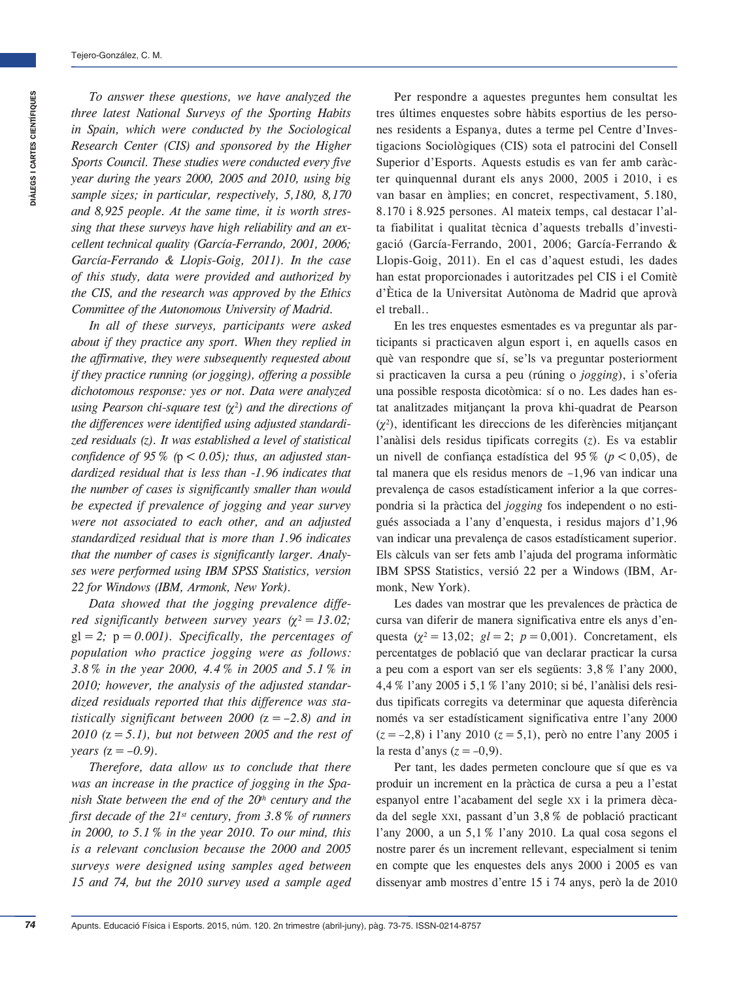*To answer these questions, we have analyzed the three latest National Surveys of the Sporting Habits in Spain, which were conducted by the Sociological Research Center (CIS) and sponsored by the Higher Sports Council. These studies were conducted every five year during the years 2000, 2005 and 2010, using big sample sizes; in particular, respectively, 5,180, 8,170 and 8,925 people. At the same time, it is worth stressing that these surveys have high reliability and an excellent technical quality (García-Ferrando, 2001, 2006; García-Ferrando & Llopis-Goig, 2011). In the case of this study, data were provided and authorized by the CIS, and the research was approved by the Ethics Committee of the Autonomous University of Madrid.*

*In all of these surveys, participants were asked about if they practice any sport. When they replied in the affirmative, they were subsequently requested about if they practice running (or jogging), offering a possible dichotomous response: yes or not. Data were analyzed using Pearson chi-square test (*<sup>2</sup> *) and the directions of the differences were identified using adjusted standardized residuals (z). It was established a level of statistical confidence of 95 % (p < 0.05); thus, an adjusted standardized residual that is less than -1.96 indicates that the number of cases is significantly smaller than would be expected if prevalence of jogging and year survey were not associated to each other, and an adjusted standardized residual that is more than 1.96 indicates that the number of cases is significantly larger. Analyses were performed using IBM SPSS Statistics, version 22 for Windows (IBM, Armonk, New York).*

*Data showed that the jogging prevalence differed significantly between survey years*  $(\chi^2 = 13.02)$ *;*  $gl = 2$ ;  $p = 0.001$ ). Specifically, the percentages of *population who practice jogging were as follows: 3.8% in the year 2000, 4.4% in 2005 and 5.1% in 2010; however, the analysis of the adjusted standardized residuals reported that this difference was statistically significant between 2000 (*z*=–2.8) and in 2010 (*z*=5.1), but not between 2005 and the rest of years*  $(z = -0.9)$ .

*Therefore, data allow us to conclude that there was an increase in the practice of jogging in the Spanish State between the end of the 20<sup>th</sup> century and the first decade of the 21st century, from 3.8% of runners in 2000, to 5.1% in the year 2010. To our mind, this is a relevant conclusion because the 2000 and 2005 surveys were designed using samples aged between 15 and 74, but the 2010 survey used a sample aged* 

Per respondre a aquestes preguntes hem consultat les tres últimes enquestes sobre hàbits esportius de les persones residents a Espanya, dutes a terme pel Centre d'Investigacions Sociològiques (CIS) sota el patrocini del Consell Superior d'Esports. Aquests estudis es van fer amb caràcter quinquennal durant els anys 2000, 2005 i 2010, i es van basar en àmplies; en concret, respectivament, 5.180, 8.170 i 8.925 persones. Al mateix temps, cal destacar l'alta fiabilitat i qualitat tècnica d'aquests treballs d'investigació (García-Ferrando, 2001, 2006; García-Ferrando & Llopis-Goig, 2011). En el cas d'aquest estudi, les dades han estat proporcionades i autoritzades pel CIS i el Comitè d'Ètica de la Universitat Autònoma de Madrid que aprovà el treball..

En les tres enquestes esmentades es va preguntar als participants si practicaven algun esport i, en aquells casos en què van respondre que sí, se'ls va preguntar posteriorment si practicaven la cursa a peu (rúning o *jogging*), i s'oferia una possible resposta dicotòmica: sí o no. Les dades han estat analitzades mitjançant la prova khi-quadrat de Pearson  $(\chi^2)$ , identificant les direccions de les diferències mitjançant l'anàlisi dels residus tipificats corregits (*z*). Es va establir un nivell de confiança estadística del 95 % ( $p < 0.05$ ), de tal manera que els residus menors de –1,96 van indicar una prevalença de casos estadísticament inferior a la que correspondria si la pràctica del *jogging* fos independent o no estigués associada a l'any d'enquesta, i residus majors d'1,96 van indicar una prevalença de casos estadísticament superior. Els càlculs van ser fets amb l'ajuda del programa informàtic IBM SPSS Statistics, versió 22 per a Windows (IBM, Armonk, New York).

Les dades van mostrar que les prevalences de pràctica de cursa van diferir de manera significativa entre els anys d'enquesta ( $\chi^2 = 13,02$ ;  $gl = 2$ ;  $p = 0,001$ ). Concretament, els percentatges de població que van declarar practicar la cursa a peu com a esport van ser els següents: 3,8% l'any 2000, 4,4% l'any 2005 i 5,1% l'any 2010; si bé, l'anàlisi dels residus tipificats corregits va determinar que aquesta diferència només va ser estadísticament significativa entre l'any 2000 (*z*=–2,8) i l'any 2010 (*z*=5,1), però no entre l'any 2005 i la resta d'anys  $(z = -0.9)$ .

Per tant, les dades permeten concloure que sí que es va produir un increment en la pràctica de cursa a peu a l'estat espanyol entre l'acabament del segle xx i la primera dècada del segle xxi, passant d'un 3,8% de població practicant l'any 2000, a un 5,1% l'any 2010. La qual cosa segons el nostre parer és un increment rellevant, especialment si tenim en compte que les enquestes dels anys 2000 i 2005 es van dissenyar amb mostres d'entre 15 i 74 anys, però la de 2010